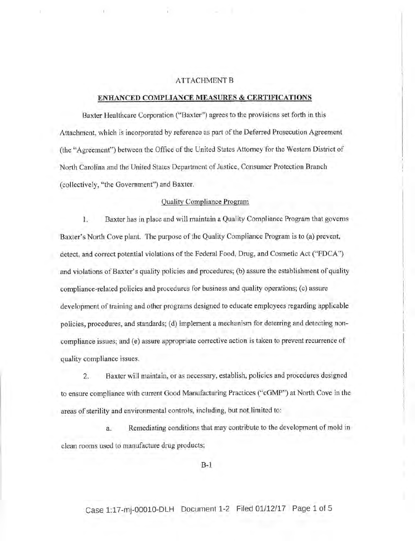## ATTACHMENT B

## <u>enhanced compliance measures & certifications</u>

Baxter Healthcare Corporation ("Baxter") agrees to the provisions set forth in this Attachment, which is incorporated by reference as part of the Deferred Prosecution Agreement (the "Agreement") between the Office of the United States Attorney for the Western District of North Carolina and the United States Department of Justice, Consumer Protection Branch (collectively, "the Government') and Baxter.

### Ouality Compliance Prosram

1, Baxter has in place and wili maintain a Quality Compliance Program that governs Baxter's North Cove plant. The purpose of the Quality Compliance Program is to (a) prevent, detect, and correct potential violations of the Federal Food, Drug, and Cosmetic Act ("FDCA") and violations of Baxter's quality policies and procedures; (b) assure the establishment of quality compliance-related policies and procedures for business and quality operations; (c) assure development of training and other programs designed to educate employees regarding applicable policies, procedures, and standards; (d) implement a mechanism for deterring and detecting noncompliance issues; and (e) assure appropriate corrective action is taken to prevent recurrence of quality compliance issues.

2. Baxter will maintain, or as necessary, establish, policies and procedures designed to ensure compliance with current Good Manufacturing Practices ("cGMP") at North Cove in the areas of sterility and environmental controls, including, but not limited to:

a.. Remediating conditions that may contribute to the development of mold in clean rooms used to manufacture drug products;

B-1

# Case 1:17-mj-00010-DLH Document 1-2 Filed 01/12/17 Page 1 of 5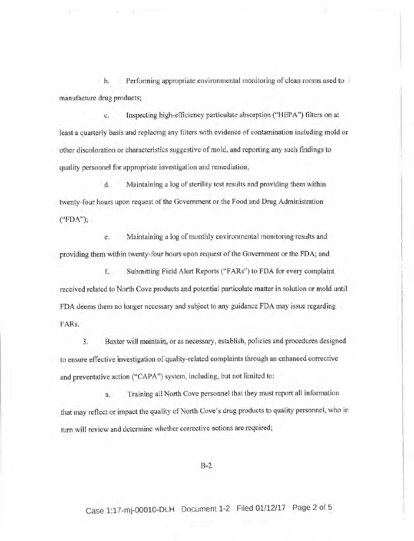Performing appropriate environmental monitoring of clean rooms used to  $b.$ manufacture drug products;

c. Inspecting high-e{ficiency particulate absorption ("HEPA") filters on at least a quarterly basis and replacing any filters with evidence of contamination including mold or other discoloration or characteristics suggestive of mold, and reporting any such frndings to quality personnel for appropriate investigation and remediation;

d. Maintaining a log of sterility test results and providing them within twenty-four hours upon request of the Government or the Food and Drug Administration ("FDA");

e. Maintaining a log of monthly environmental monitoring results and providing them within twenty-four hours upon request of the Government or the FDA; and

f. Submitting Field Alert Reports ("FARs") to FDA for every complaint received related to North Cove products and potential particulate matter in solution or mold until FDA deems them no longer necessary and subject to any guidance FDA may issue regarding FARs.

3. Baxter will maintain, or as necessary, establish, policies and procedures designed to enswe effective investigation of quality-related complaints through an enhanced corrective and preventative action ("CAPA") system, including, but not limited to:

a. Training all North Cove personnel that they must report all information that may reflect or impact the quality of North Cove's drug products to quality personnel, who in turn will review and determine whether corrective actions are required;

B-2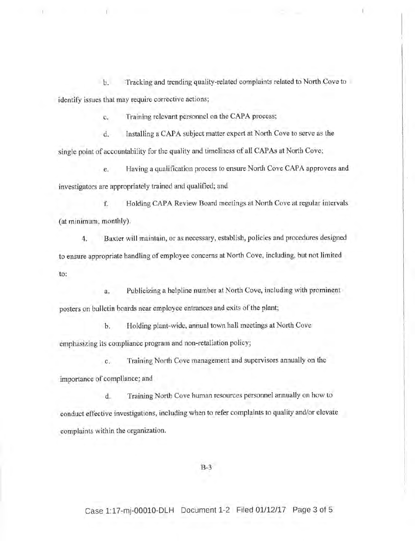b. Tracking and trending quality-related complaints related to North Cove to identify issues that may require corrective actions;

tl III also and the second control of the second control of the second control of the second control of the second control of the second control of the second control of the second control of the second control of the seco

c. Training relevant personnel on the CAPA process;

d. Installing a CAPA subject matter expert at North Cove to serve as the single point of accountability for the quality and timeliness of all CAPAs at North Cove;

e. Having a qualification process to ensure North Cove CAPA approvers and investigators are appropriately trained and qualified; and

f. Holding CAPA Review Board meetings at North Cove at regular intervals (at minimum, monthly).

4. Baxter will maintain, or as necessary, establish, policies and procedures designed to ensure appropriate handling of employee concems at North Cove, including, but not limited to:

a. Publicizing a helpline number at North Cove, including with prominent posters on bulletin boards near employee entrances and exits of the plant;

b. Holding plant-wide, annual town hall meetings at North Cove emphasizing its compliance program and non-retaliation policy;

c. Training North Cove management and supervisors annually on the importance of compliance; and

d. Training North Cove human resources personnel annually on how to conduct effective investigations, including when to refer complaints to quality and/or elevate complaints within the organization.

B-3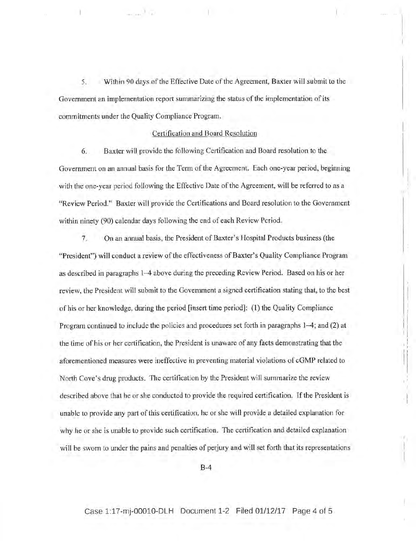5. Within 90 days of the Effective Date of the Agreement, Baxter will submit to the Government an implementation report summarizing the status of the implementation of its commitments under the Quality Compliance Program.

#### Certification and Board Resolution

6. Baxter will provide the following Cerlification and Board resolution to the Government on an annual basis for the Term of the Agreement. Each one-year period, beginning with the one-year period following the Effective Date of the Agreement, will be referred to as a "Review Period." Baxter will provide the Certifications and Board resolution to the Government within ninety (90) calendar days foilowing the end of each Review Period.

<sup>7</sup>. On an annual basis, the President of Baxter's Hospital Products business (the "President") will conduct a review of the effectiveness of Baxter's Quality Compliance Program as described in paragraphs l-4 above during the preceding Review Period. Based on his or her review, the President will submit to the Govemment a signed certification stating that, to the best of his or her knowledge, during the period [insert time period]: (1) the Quality Compliance Program continued to include the policies and procedures set forth in paragraphs 1-4; and (2) at the time of his or her certification, the President is unaware of any facts demonstrating that the aforementioned measures were ineffective in preventing material violations of cGMP related to North Cove's drug products. The certification by the President will summarize the review described above that he or she conducted to provide the required certification. If the President is unable to provide any part of this certification, he or she will provide a detailed explanation for why he or she is unable to provide such certification. The certification and detailed explanation will be sworn to under the pains and penalties of perjury and will set forth that its representations

B-4